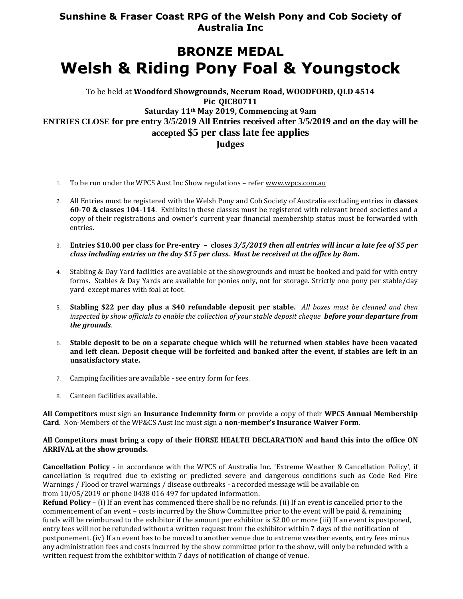## **Sunshine & Fraser Coast RPG of the Welsh Pony and Cob Society of Australia Inc**

# **BRONZE MEDAL Welsh & Riding Pony Foal & Youngstock**

### To be held at **Woodford Showgrounds, Neerum Road, WOODFORD, QLD 4514 Pic QICB0711 Saturday 11th May 2019, Commencing at 9am ENTRIES CLOSE for pre entry 3/5/2019 All Entries received after 3/5/2019 and on the day will be accepted \$5 per class late fee applies Judges**

- 1. To be run under the WPCS Aust Inc Show regulations refe[r www.wpcs.com.au](http://www.wpcs.com.au/)
- 2. All Entries must be registered with the Welsh Pony and Cob Society of Australia excluding entries in **classes 60-70 & classes 104-114**. Exhibits in these classes must be registered with relevant breed societies and a copy of their registrations and owner's current year financial membership status must be forwarded with entries.
- 3. **Entries \$10.00 per class for Pre-entry – closes** *3/5/2019 then all entries will incur a late fee of \$5 per class including entries on the day \$15 per class. Must be received at the office by 8am.*
- 4. Stabling & Day Yard facilities are available at the showgrounds and must be booked and paid for with entry forms. Stables & Day Yards are available for ponies only, not for storage. Strictly one pony per stable/day yard except mares with foal at foot.
- 5. **Stabling \$22 per day plus a \$40 refundable deposit per stable.** *All boxes must be cleaned and then inspected by show officials to enable the collection of your stable deposit cheque before your departure from the grounds.*
- 6. **Stable deposit to be on a separate cheque which will be returned when stables have been vacated and left clean. Deposit cheque will be forfeited and banked after the event, if stables are left in an unsatisfactory state.**
- 7. Camping facilities are available see entry form for fees.
- 8. Canteen facilities available.

**All Competitors** must sign an **Insurance Indemnity form** or provide a copy of their **WPCS Annual Membership Card**. Non-Members of the WP&CS Aust Inc must sign a **non-member's Insurance Waiver Form**.

#### **All Competitors must bring a copy of their HORSE HEALTH DECLARATION and hand this into the office ON ARRIVAL at the show grounds.**

**Cancellation Policy** - in accordance with the WPCS of Australia Inc. 'Extreme Weather & Cancellation Policy', if cancellation is required due to existing or predicted severe and dangerous conditions such as Code Red Fire Warnings / Flood or travel warnings / disease outbreaks - a recorded message will be available on from 10/05/2019 or phone 0438 016 497 for updated information.

**Refund Policy** – (i) If an event has commenced there shall be no refunds. (ii) If an event is cancelled prior to the commencement of an event – costs incurred by the Show Committee prior to the event will be paid & remaining funds will be reimbursed to the exhibitor if the amount per exhibitor is \$2.00 or more (iii) If an event is postponed, entry fees will not be refunded without a written request from the exhibitor within 7 days of the notification of postponement. (iv) If an event has to be moved to another venue due to extreme weather events, entry fees minus any administration fees and costs incurred by the show committee prior to the show, will only be refunded with a written request from the exhibitor within 7 days of notification of change of venue.